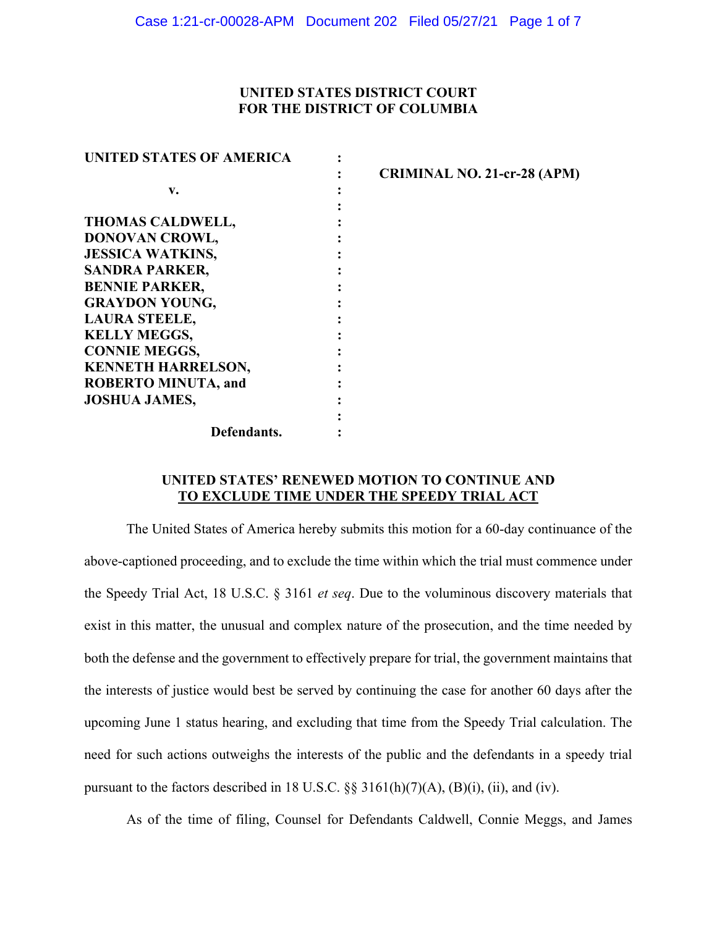# **UNITED STATES DISTRICT COURT FOR THE DISTRICT OF COLUMBIA**

| <b>UNITED STATES OF AMERICA</b> |                                    |
|---------------------------------|------------------------------------|
|                                 | <b>CRIMINAL NO. 21-cr-28 (APM)</b> |
| v.                              |                                    |
|                                 |                                    |
| <b>THOMAS CALDWELL,</b>         |                                    |
| DONOVAN CROWL,                  |                                    |
| <b>JESSICA WATKINS,</b>         |                                    |
| <b>SANDRA PARKER,</b>           |                                    |
| <b>BENNIE PARKER,</b>           |                                    |
| <b>GRAYDON YOUNG,</b>           |                                    |
| <b>LAURA STEELE,</b>            |                                    |
| <b>KELLY MEGGS,</b>             |                                    |
| <b>CONNIE MEGGS,</b>            |                                    |
| <b>KENNETH HARRELSON,</b>       |                                    |
| <b>ROBERTO MINUTA, and</b>      |                                    |
| <b>JOSHUA JAMES,</b>            |                                    |
|                                 |                                    |
| Defendants.                     |                                    |

# **UNITED STATES' RENEWED MOTION TO CONTINUE AND TO EXCLUDE TIME UNDER THE SPEEDY TRIAL ACT**

The United States of America hereby submits this motion for a 60-day continuance of the above-captioned proceeding, and to exclude the time within which the trial must commence under the Speedy Trial Act, 18 U.S.C. § 3161 *et seq*. Due to the voluminous discovery materials that exist in this matter, the unusual and complex nature of the prosecution, and the time needed by both the defense and the government to effectively prepare for trial, the government maintains that the interests of justice would best be served by continuing the case for another 60 days after the upcoming June 1 status hearing, and excluding that time from the Speedy Trial calculation. The need for such actions outweighs the interests of the public and the defendants in a speedy trial pursuant to the factors described in 18 U.S.C.  $\S$ § 3161(h)(7)(A), (B)(i), (ii), and (iv).

As of the time of filing, Counsel for Defendants Caldwell, Connie Meggs, and James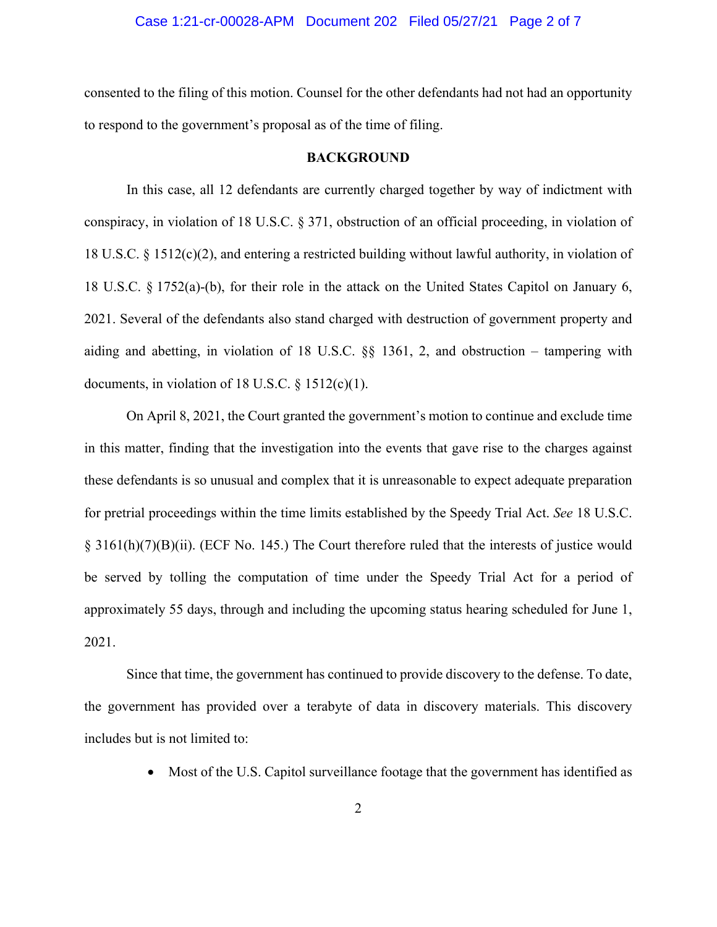### Case 1:21-cr-00028-APM Document 202 Filed 05/27/21 Page 2 of 7

consented to the filing of this motion. Counsel for the other defendants had not had an opportunity to respond to the government's proposal as of the time of filing.

#### **BACKGROUND**

In this case, all 12 defendants are currently charged together by way of indictment with conspiracy, in violation of 18 U.S.C. § 371, obstruction of an official proceeding, in violation of 18 U.S.C. § 1512(c)(2), and entering a restricted building without lawful authority, in violation of 18 U.S.C. § 1752(a)-(b), for their role in the attack on the United States Capitol on January 6, 2021. Several of the defendants also stand charged with destruction of government property and aiding and abetting, in violation of 18 U.S.C. §§ 1361, 2, and obstruction – tampering with documents, in violation of 18 U.S.C.  $\S$  1512(c)(1).

On April 8, 2021, the Court granted the government's motion to continue and exclude time in this matter, finding that the investigation into the events that gave rise to the charges against these defendants is so unusual and complex that it is unreasonable to expect adequate preparation for pretrial proceedings within the time limits established by the Speedy Trial Act. *See* 18 U.S.C. § 3161(h)(7)(B)(ii). (ECF No. 145.) The Court therefore ruled that the interests of justice would be served by tolling the computation of time under the Speedy Trial Act for a period of approximately 55 days, through and including the upcoming status hearing scheduled for June 1, 2021.

Since that time, the government has continued to provide discovery to the defense. To date, the government has provided over a terabyte of data in discovery materials. This discovery includes but is not limited to:

• Most of the U.S. Capitol surveillance footage that the government has identified as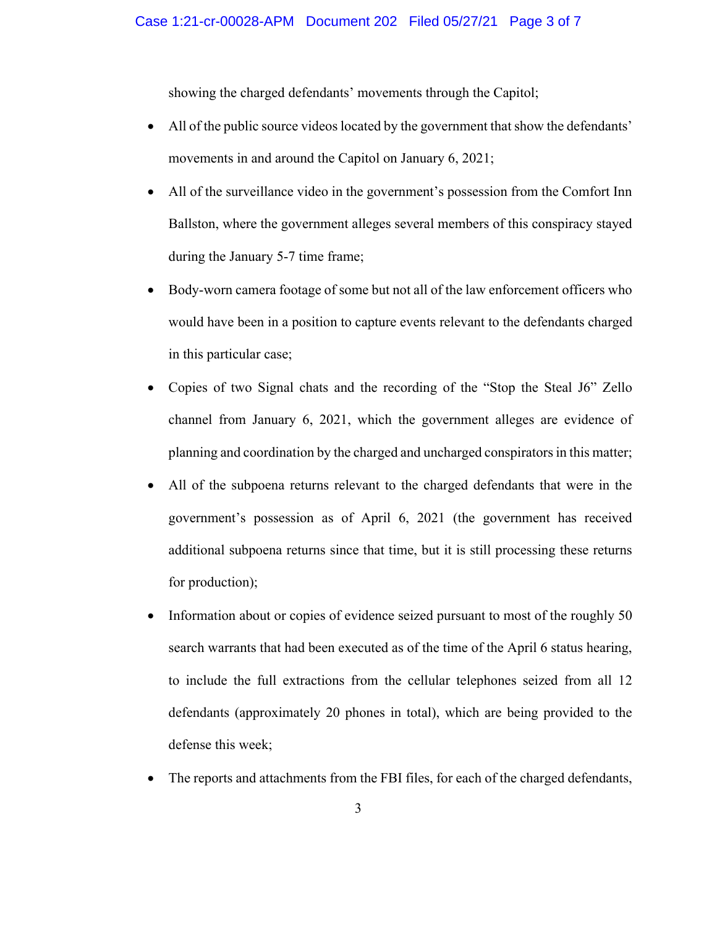showing the charged defendants' movements through the Capitol;

- All of the public source videos located by the government that show the defendants' movements in and around the Capitol on January 6, 2021;
- All of the surveillance video in the government's possession from the Comfort Inn Ballston, where the government alleges several members of this conspiracy stayed during the January 5-7 time frame;
- Body-worn camera footage of some but not all of the law enforcement officers who would have been in a position to capture events relevant to the defendants charged in this particular case;
- Copies of two Signal chats and the recording of the "Stop the Steal J6" Zello channel from January 6, 2021, which the government alleges are evidence of planning and coordination by the charged and uncharged conspirators in this matter;
- All of the subpoena returns relevant to the charged defendants that were in the government's possession as of April 6, 2021 (the government has received additional subpoena returns since that time, but it is still processing these returns for production);
- Information about or copies of evidence seized pursuant to most of the roughly 50 search warrants that had been executed as of the time of the April 6 status hearing, to include the full extractions from the cellular telephones seized from all 12 defendants (approximately 20 phones in total), which are being provided to the defense this week;
- The reports and attachments from the FBI files, for each of the charged defendants,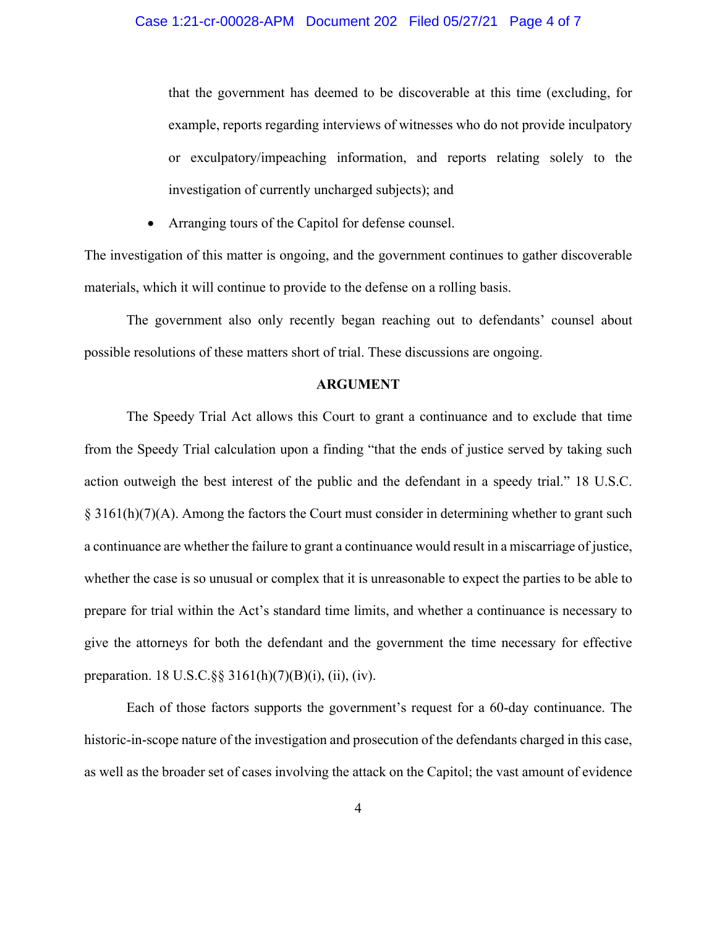that the government has deemed to be discoverable at this time (excluding, for example, reports regarding interviews of witnesses who do not provide inculpatory or exculpatory/impeaching information, and reports relating solely to the investigation of currently uncharged subjects); and

Arranging tours of the Capitol for defense counsel.

The investigation of this matter is ongoing, and the government continues to gather discoverable materials, which it will continue to provide to the defense on a rolling basis.

The government also only recently began reaching out to defendants' counsel about possible resolutions of these matters short of trial. These discussions are ongoing.

#### **ARGUMENT**

The Speedy Trial Act allows this Court to grant a continuance and to exclude that time from the Speedy Trial calculation upon a finding "that the ends of justice served by taking such action outweigh the best interest of the public and the defendant in a speedy trial." 18 U.S.C.  $\S 3161(h)(7)(A)$ . Among the factors the Court must consider in determining whether to grant such a continuance are whether the failure to grant a continuance would result in a miscarriage of justice, whether the case is so unusual or complex that it is unreasonable to expect the parties to be able to prepare for trial within the Act's standard time limits, and whether a continuance is necessary to give the attorneys for both the defendant and the government the time necessary for effective preparation. 18 U.S.C.§§ 3161(h)(7)(B)(i), (ii), (iv).

Each of those factors supports the government's request for a 60-day continuance. The historic-in-scope nature of the investigation and prosecution of the defendants charged in this case, as well as the broader set of cases involving the attack on the Capitol; the vast amount of evidence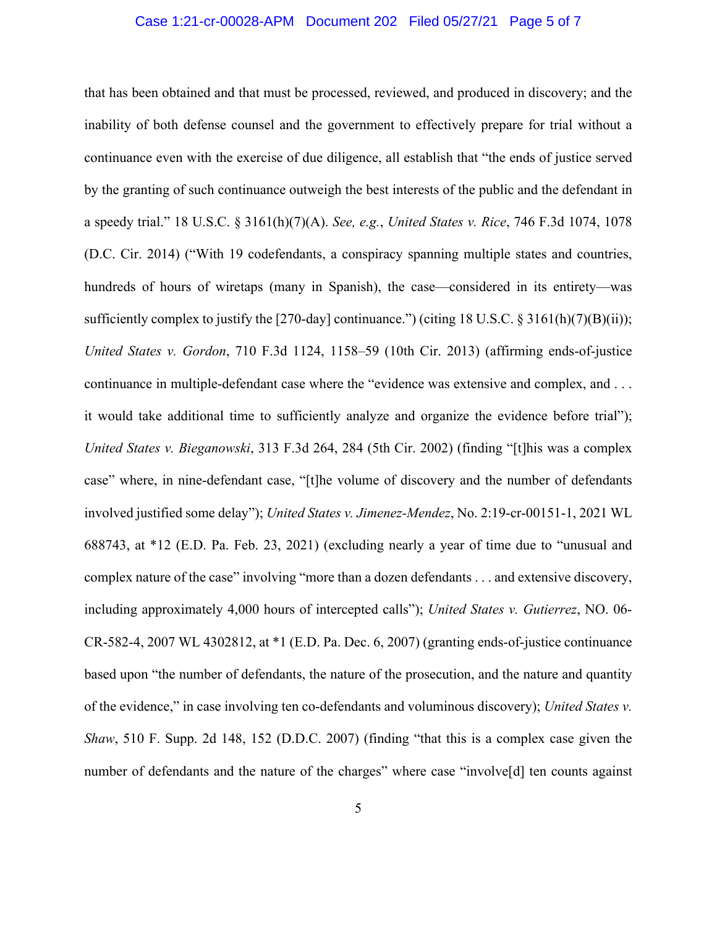### Case 1:21-cr-00028-APM Document 202 Filed 05/27/21 Page 5 of 7

that has been obtained and that must be processed, reviewed, and produced in discovery; and the inability of both defense counsel and the government to effectively prepare for trial without a continuance even with the exercise of due diligence, all establish that "the ends of justice served by the granting of such continuance outweigh the best interests of the public and the defendant in a speedy trial." 18 U.S.C. § 3161(h)(7)(A). *See, e.g.*, *United States v. Rice*, 746 F.3d 1074, 1078 (D.C. Cir. 2014) ("With 19 codefendants, a conspiracy spanning multiple states and countries, hundreds of hours of wiretaps (many in Spanish), the case—considered in its entirety—was sufficiently complex to justify the [270-day] continuance.") (citing 18 U.S.C. § 3161(h)(7)(B)(ii)); *United States v. Gordon*, 710 F.3d 1124, 1158–59 (10th Cir. 2013) (affirming ends-of-justice continuance in multiple-defendant case where the "evidence was extensive and complex, and . . . it would take additional time to sufficiently analyze and organize the evidence before trial"); *United States v. Bieganowski*, 313 F.3d 264, 284 (5th Cir. 2002) (finding "[t]his was a complex case" where, in nine-defendant case, "[t]he volume of discovery and the number of defendants involved justified some delay"); *United States v. Jimenez-Mendez*, No. 2:19-cr-00151-1, 2021 WL 688743, at \*12 (E.D. Pa. Feb. 23, 2021) (excluding nearly a year of time due to "unusual and complex nature of the case" involving "more than a dozen defendants . . . and extensive discovery, including approximately 4,000 hours of intercepted calls"); *United States v. Gutierrez*, NO. 06- CR-582-4, 2007 WL 4302812, at \*1 (E.D. Pa. Dec. 6, 2007) (granting ends-of-justice continuance based upon "the number of defendants, the nature of the prosecution, and the nature and quantity of the evidence," in case involving ten co-defendants and voluminous discovery); *United States v. Shaw*, 510 F. Supp. 2d 148, 152 (D.D.C. 2007) (finding "that this is a complex case given the number of defendants and the nature of the charges" where case "involve<sup>[d]</sup> ten counts against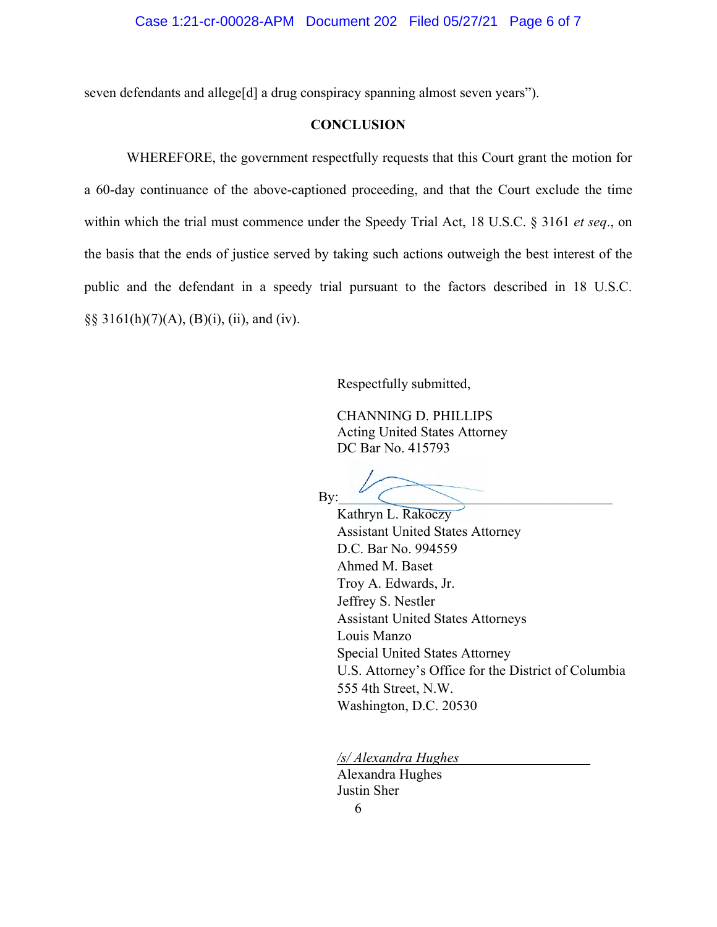seven defendants and allege[d] a drug conspiracy spanning almost seven years").

# **CONCLUSION**

WHEREFORE, the government respectfully requests that this Court grant the motion for a 60-day continuance of the above-captioned proceeding, and that the Court exclude the time within which the trial must commence under the Speedy Trial Act, 18 U.S.C. § 3161 *et seq*., on the basis that the ends of justice served by taking such actions outweigh the best interest of the public and the defendant in a speedy trial pursuant to the factors described in 18 U.S.C. §§ 3161(h)(7)(A), (B)(i), (ii), and (iv).

Respectfully submitted,

CHANNING D. PHILLIPS Acting United States Attorney DC Bar No. 415793

 $\mathop{\mathrm{By:}} \quad \begin{array}{c} \begin{array}{c} \begin{array}{c} \begin{array}{c} \text{ } \\ \text{ } \end{array} \end{array} \end{array}$ 

Kathryn L. Rakoczy Assistant United States Attorney D.C. Bar No. 994559 Ahmed M. Baset Troy A. Edwards, Jr. Jeffrey S. Nestler Assistant United States Attorneys Louis Manzo Special United States Attorney U.S. Attorney's Office for the District of Columbia 555 4th Street, N.W. Washington, D.C. 20530

*/s/ Alexandra Hughes* 

 Alexandra Hughes Justin Sher